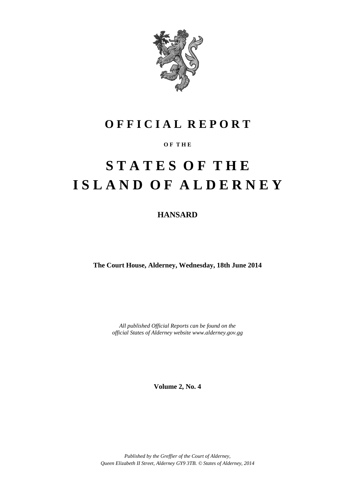

# **O F F I C I A L R E P O R T**

### **O F T H E**

# **S T A T E S O F T H E I S L A N D O F A L D E R N E Y**

**HANSARD**

**The Court House, Alderney, Wednesday, 18th June 2014**

*All published Official Reports can be found on the official States of Alderney website www.alderney.gov.gg*

**Volume 2, No. 4**

*Published by the Greffier of the Court of Alderney, Queen Elizabeth II Street, Alderney GY9 3TB. © States of Alderney, 2014*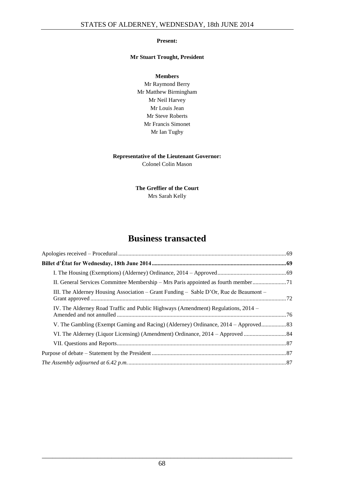#### **Present:**

#### **Mr Stuart Trought, President**

**Members** Mr Raymond Berry Mr Matthew Birmingham Mr Neil Harvey Mr Louis Jean Mr Steve Roberts Mr Francis Simonet Mr Ian Tugby

#### **Representative of the Lieutenant Governor:**

Colonel Colin Mason

#### **The Greffier of the Court** Mrs Sarah Kelly

## **Business transacted**

| II. General Services Committee Membership – Mrs Paris appointed as fourth member      |  |
|---------------------------------------------------------------------------------------|--|
| III. The Alderney Housing Association – Grant Funding – Sable D'Or, Rue de Beaumont – |  |
| IV. The Alderney Road Traffic and Public Highways (Amendment) Regulations, 2014 –     |  |
| V. The Gambling (Exempt Gaming and Racing) (Alderney) Ordinance, 2014 – Approved      |  |
|                                                                                       |  |
|                                                                                       |  |
|                                                                                       |  |
|                                                                                       |  |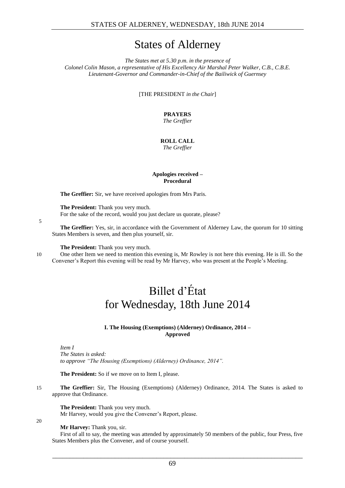# States of Alderney

*The States met at 5.30 p.m. in the presence of Colonel Colin Mason, a representative of His Excellency Air Marshal Peter Walker, C.B., C.B.E. Lieutenant-Governor and Commander-in-Chief of the Bailiwick of Guernsey*

[THE PRESIDENT *in the Chair*]

### **PRAYERS**

*The Greffier*

### **ROLL CALL**

*The Greffier*

#### **Apologies received – Procedural**

<span id="page-2-0"></span>**The Greffier:** Sir, we have received apologies from Mrs Paris.

**The President:** Thank you very much. For the sake of the record, would you just declare us quorate, please?

**The Greffier:** Yes, sir, in accordance with the Government of Alderney Law, the quorum for 10 sitting

States Members is seven, and then plus yourself, sir.

**The President:** Thank you very much.

<span id="page-2-1"></span>

20

5

10 One other Item we need to mention this evening is, Mr Rowley is not here this evening. He is ill. So the Convener's Report this evening will be read by Mr Harvey, who was present at the People's Meeting.

# Billet d'État for Wednesday, 18th June 2014

#### **I. The Housing (Exemptions) (Alderney) Ordinance, 2014 – Approved**

<span id="page-2-2"></span>*Item I The States is asked: to approve "The Housing (Exemptions) (Alderney) Ordinance, 2014".*

**The President:** So if we move on to Item I, please.

15 **The Greffier:** Sir, The Housing (Exemptions) (Alderney) Ordinance, 2014. The States is asked to approve that Ordinance.

**The President:** Thank you very much. Mr Harvey, would you give the Convener's Report, please.

**Mr Harvey:** Thank you, sir.

First of all to say, the meeting was attended by approximately 50 members of the public, four Press, five States Members plus the Convener, and of course yourself.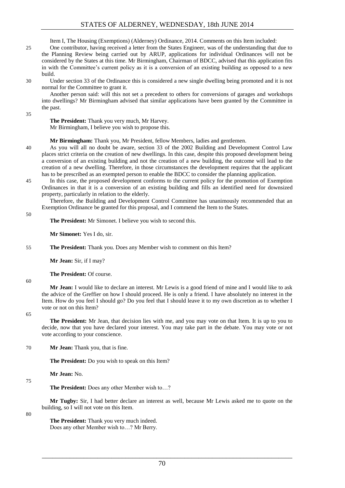Item I, The Housing (Exemptions) (Alderney) Ordinance, 2014. Comments on this Item included:

25 One contributor, having received a letter from the States Engineer, was of the understanding that due to the Planning Review being carried out by ARUP, applications for individual Ordinances will not be considered by the States at this time. Mr Birmingham, Chairman of BDCC, advised that this application fits in with the Committee's current policy as it is a conversion of an existing building as opposed to a new build.

30 Under section 33 of the Ordinance this is considered a new single dwelling being promoted and it is not normal for the Committee to grant it.

Another person said: will this not set a precedent to others for conversions of garages and workshops into dwellings? Mr Birmingham advised that similar applications have been granted by the Committee in the past.

35

**The President:** Thank you very much, Mr Harvey. Mr Birmingham, I believe you wish to propose this.

**Mr Birmingham:** Thank you, Mr President, fellow Members, ladies and gentlemen.

- 40 As you will all no doubt be aware, section 33 of the 2002 Building and Development Control Law places strict criteria on the creation of new dwellings. In this case, despite this proposed development being a conversion of an existing building and not the creation of a new building, the outcome will lead to the creation of a new dwelling. Therefore, in those circumstances the development requires that the applicant has to be prescribed as an exempted person to enable the BDCC to consider the planning application.
- 45 In this case, the proposed development conforms to the current policy for the promotion of Exemption Ordinances in that it is a conversion of an existing building and fills an identified need for downsized property, particularly in relation to the elderly.

Therefore, the Building and Development Control Committee has unanimously recommended that an Exemption Ordinance be granted for this proposal, and I commend the Item to the States.

**The President:** Mr Simonet. I believe you wish to second this.

**Mr Simonet:** Yes I do, sir.

55 **The President:** Thank you. Does any Member wish to comment on this Item?

**Mr Jean:** Sir, if I may?

**The President:** Of course.

60

50

**Mr Jean:** I would like to declare an interest. Mr Lewis is a good friend of mine and I would like to ask the advice of the Greffier on how I should proceed. He is only a friend. I have absolutely no interest in the Item. How do you feel I should go? Do you feel that I should leave it to my own discretion as to whether I vote or not on this Item?

65

**The President:** Mr Jean, that decision lies with me, and you may vote on that Item. It is up to you to decide, now that you have declared your interest. You may take part in the debate. You may vote or not vote according to your conscience.

70 **Mr Jean:** Thank you, that is fine.

**The President:** Do you wish to speak on this Item?

**Mr Jean:** No.

**The President:** Does any other Member wish to…?

**Mr Tugby:** Sir, I had better declare an interest as well, because Mr Lewis asked me to quote on the building, so I will not vote on this Item.

80

75

**The President:** Thank you very much indeed. Does any other Member wish to…? Mr Berry.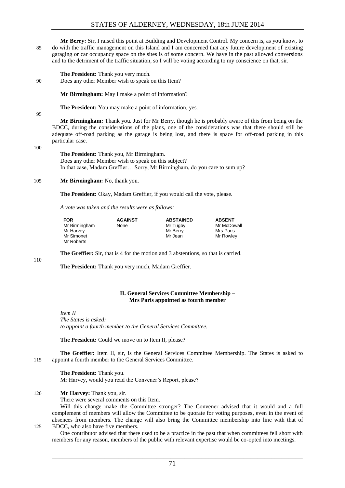**Mr Berry:** Sir, I raised this point at Building and Development Control. My concern is, as you know, to 85 do with the traffic management on this Island and I am concerned that any future development of existing garaging or car occupancy space on the sites is of some concern. We have in the past allowed conversions and to the detriment of the traffic situation, so I will be voting according to my conscience on that, sir.

**The President:** Thank you very much.

90 Does any other Member wish to speak on this Item?

**Mr Birmingham:** May I make a point of information?

**The President:** You may make a point of information, yes.

95

**Mr Birmingham:** Thank you. Just for Mr Berry, though he is probably aware of this from being on the BDCC, during the considerations of the plans, one of the considerations was that there should still be adequate off-road parking as the garage is being lost, and there is space for off-road parking in this particular case.

100

**The President:** Thank you, Mr Birmingham. Does any other Member wish to speak on this subject? In that case, Madam Greffier… Sorry, Mr Birmingham, do you care to sum up?

105 **Mr Birmingham:** No, thank you.

**The President:** Okay, Madam Greffier, if you would call the vote, please.

*A vote was taken and the results were as follows:*

| <b>FOR</b>    | <b>AGAINST</b> | <b>ABSTAINED</b> | <b>ABSENT</b> |
|---------------|----------------|------------------|---------------|
| Mr Birmingham | None           | Mr Tugby         | Mr McDowall   |
| Mr Harvey     |                | Mr Berry         | Mrs Paris     |
| Mr Simonet    |                | Mr Jean          | Mr Rowley     |
| Mr Roberts    |                |                  |               |

110

**The Greffier:** Sir, that is 4 for the motion and 3 abstentions, so that is carried.

**The President:** Thank you very much, Madam Greffier.

#### **II. General Services Committee Membership – Mrs Paris appointed as fourth member**

<span id="page-4-0"></span>*Item II The States is asked: to appoint a fourth member to the General Services Committee.*

**The President:** Could we move on to Item II, please?

**The Greffier:** Item II, sir, is the General Services Committee Membership. The States is asked to 115 appoint a fourth member to the General Services Committee.

**The President:** Thank you.

Mr Harvey, would you read the Convener's Report, please?

120 **Mr Harvey:** Thank you, sir.

There were several comments on this Item.

Will this change make the Committee stronger? The Convener advised that it would and a full complement of members will allow the Committee to be quorate for voting purposes, even in the event of absences from members. The change will also bring the Committee membership into line with that of 125 BDCC, who also have five members.

One contributor advised that there used to be a practice in the past that when committees fell short with members for any reason, members of the public with relevant expertise would be co-opted into meetings.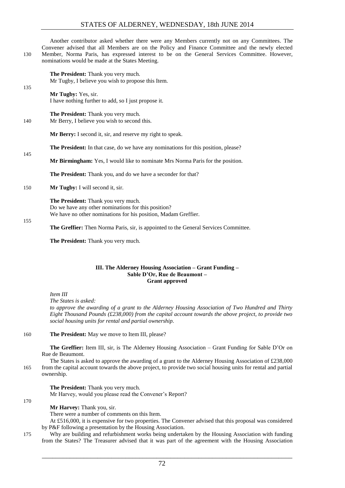Another contributor asked whether there were any Members currently not on any Committees. The Convener advised that all Members are on the Policy and Finance Committee and the newly elected 130 Member, Norma Paris, has expressed interest to be on the General Services Committee. However, nominations would be made at the States Meeting.

| 135 | <b>The President:</b> Thank you very much.<br>Mr Tugby, I believe you wish to propose this Item. |
|-----|--------------------------------------------------------------------------------------------------|
|     | Mr Tugby: Yes, sir.<br>I have nothing further to add, so I just propose it.                      |
| 140 | <b>The President:</b> Thank you very much.<br>Mr Berry, I believe you wish to second this.       |
|     | <b>Mr Berry:</b> I second it, sir, and reserve my right to speak.                                |
| 145 | <b>The President:</b> In that case, do we have any nominations for this position, please?        |
|     | <b>Mr Birmingham:</b> Yes, I would like to nominate Mrs Norma Paris for the position.            |
|     | <b>The President:</b> Thank you, and do we have a seconder for that?                             |
| 150 | <b>Mr Tugby:</b> I will second it, sir.                                                          |

**The President:** Thank you very much. Do we have any other nominations for this position? We have no other nominations for his position, Madam Greffier.

**The Greffier:** Then Norma Paris, sir, is appointed to the General Services Committee.

<span id="page-5-0"></span>**The President:** Thank you very much.

#### **III. The Alderney Housing Association – Grant Funding – Sable D'Or, Rue de Beaumont – Grant approved**

*Item III*

*The States is asked:*

*to approve the awarding of a grant to the Alderney Housing Association of Two Hundred and Thirty Eight Thousand Pounds (£238,000) from the capital account towards the above project, to provide two social housing units for rental and partial ownership.*

160 **The President:** May we move to Item III, please?

**The Greffier:** Item III, sir, is The Alderney Housing Association – Grant Funding for Sable D'Or on Rue de Beaumont.

The States is asked to approve the awarding of a grant to the Alderney Housing Association of £238,000 165 from the capital account towards the above project, to provide two social housing units for rental and partial ownership.

**The President:** Thank you very much. Mr Harvey, would you please read the Convener's Report?

170

155

**Mr Harvey:** Thank you, sir.

There were a number of comments on this Item.

At £516,000, it is expensive for two properties. The Convener advised that this proposal was considered by P&F following a presentation by the Housing Association.

175 Why are building and refurbishment works being undertaken by the Housing Association with funding from the States? The Treasurer advised that it was part of the agreement with the Housing Association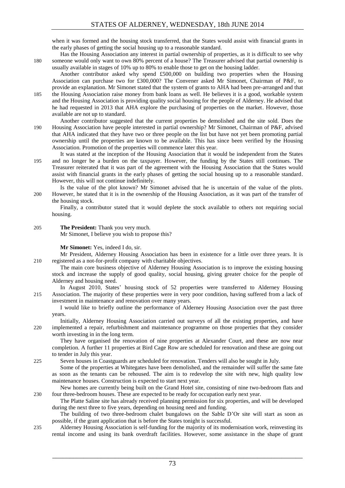when it was formed and the housing stock transferred, that the States would assist with financial grants in the early phases of getting the social housing up to a reasonable standard.

Has the Housing Association any interest in partial ownership of properties, as it is difficult to see why 180 someone would only want to own 80% percent of a house? The Treasurer advised that partial ownership is usually available in stages of 10% up to 80% to enable those to get on the housing ladder.

Another contributor asked why spend £500,000 on building two properties when the Housing Association can purchase two for £300,000? The Convener asked Mr Simonet, Chairman of P&F, to provide an explanation. Mr Simonet stated that the system of grants to AHA had been pre-arranged and that 185 the Housing Association raise money from bank loans as well. He believes it is a good, workable system and the Housing Association is providing quality social housing for the people of Alderney. He advised that

- he had requested in 2013 that AHA explore the purchasing of properties on the market. However, those available are not up to standard.
- Another contributor suggested that the current properties be demolished and the site sold. Does the 190 Housing Association have people interested in partial ownership? Mr Simonet, Chairman of P&F, advised that AHA indicated that they have two or three people on the list but have not yet been promoting partial ownership until the properties are known to be available. This has since been verified by the Housing Association. Promotion of the properties will commence later this year.
- It was stated at the inception of the Housing Association that it would be independent from the States 195 and no longer be a burden on the taxpayer. However, the funding by the States still continues. The Treasurer reiterated that it was part of the agreement with the Housing Association that the States would assist with financial grants in the early phases of getting the social housing up to a reasonable standard. However, this will not continue indefinitely.

Is the value of the plot known? Mr Simonet advised that he is uncertain of the value of the plots. 200 However, he stated that it is in the ownership of the Housing Association, as it was part of the transfer of the housing stock.

Finally, a contributor stated that it would deplete the stock available to others not requiring social housing.

#### 205 **The President:** Thank you very much.

Mr Simonet, I believe you wish to propose this?

#### **Mr Simonet:** Yes, indeed I do, sir.

Mr President, Alderney Housing Association has been in existence for a little over three years. It is 210 registered as a not-for-profit company with charitable objectives.

The main core business objective of Alderney Housing Association is to improve the existing housing stock and increase the supply of good quality, social housing, giving greater choice for the people of Alderney and housing need.

In August 2010, States' housing stock of 52 properties were transferred to Alderney Housing 215 Association. The majority of these properties were in very poor condition, having suffered from a lack of investment in maintenance and renovation over many years.

I would like to briefly outline the performance of Alderney Housing Association over the past three years.

Initially, Alderney Housing Association carried out surveys of all the existing properties, and have 220 implemented a repair, refurbishment and maintenance programme on those properties that they consider worth investing in in the long term.

They have organised the renovation of nine properties at Alexander Court, and these are now near completion. A further 11 properties at Bird Cage Row are scheduled for renovation and these are going out to tender in July this year.

225 Seven houses in Coastguards are scheduled for renovation. Tenders will also be sought in July.

Some of the properties at Whitegates have been demolished, and the remainder will suffer the same fate as soon as the tenants can be rehoused. The aim is to redevelop the site with new, high quality low maintenance houses. Construction is expected to start next year.

New homes are currently being built on the Grand Hotel site, consisting of nine two-bedroom flats and 230 four three-bedroom houses. These are expected to be ready for occupation early next year.

The Platte Saline site has already received planning permission for six properties, and will be developed during the next three to five years, depending on housing need and funding.

The building of two three-bedroom chalet bungalows on the Sable D'Or site will start as soon as possible, if the grant application that is before the States tonight is successful.

235 Alderney Housing Association is self-funding for the majority of its modernisation work, reinvesting its rental income and using its bank overdraft facilities. However, some assistance in the shape of grant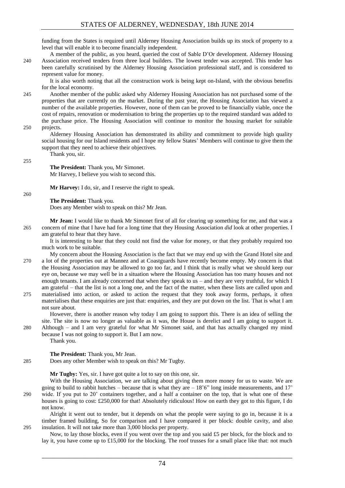funding from the States is required until Alderney Housing Association builds up its stock of property to a level that will enable it to become financially independent.

A member of the public, as you heard, queried the cost of Sable D'Or development. Alderney Housing 240 Association received tenders from three local builders. The lowest tender was accepted. This tender has been carefully scrutinised by the Alderney Housing Association professional staff, and is considered to represent value for money.

It is also worth noting that all the construction work is being kept on-Island, with the obvious benefits for the local economy.

245 Another member of the public asked why Alderney Housing Association has not purchased some of the properties that are currently on the market. During the past year, the Housing Association has viewed a number of the available properties. However, none of them can be proved to be financially viable, once the cost of repairs, renovation or modernisation to bring the properties up to the required standard was added to the purchase price. The Housing Association will continue to monitor the housing market for suitable 250 projects.

Alderney Housing Association has demonstrated its ability and commitment to provide high quality social housing for our Island residents and I hope my fellow States' Members will continue to give them the support that they need to achieve their objectives. Thank you, sir.

255

**The President:** Thank you, Mr Simonet. Mr Harvey, I believe you wish to second this.

**Mr Harvey:** I do, sir, and I reserve the right to speak.

260

**The President:** Thank you.

Does any Member wish to speak on this? Mr Jean.

**Mr Jean:** I would like to thank Mr Simonet first of all for clearing up something for me, and that was a 265 concern of mine that I have had for a long time that they Housing Association *did* look at other properties. I am grateful to hear that they have.

It is interesting to hear that they could not find the value for money, or that they probably required too much work to be suitable.

- My concern about the Housing Association is the fact that we may end up with the Grand Hotel site and 270 a lot of the properties out at Mannez and at Coastguards have recently become empty. My concern is that the Housing Association may be allowed to go too far, and I think that is really what we should keep our eye on, because we may well be in a situation where the Housing Association has too many houses and not enough tenants. I am already concerned that when they speak to us – and they are very truthful, for which I am grateful – that the list is not a long one, and the fact of the matter, when these lists are called upon and
- 275 materialised into action, or asked to action the request that they took away forms, perhaps, it often materialises that these enquiries are just that: enquiries, and they are put down on the list. That is what I am not sure about.

However, there is another reason why today I am going to support this. There is an idea of selling the site. The site is now no longer as valuable as it was, the House is derelict and I am going to support it.

280 Although – and I am very grateful for what Mr Simonet said, and that has actually changed my mind because I was not going to support it. But I am now.

Thank you.

#### **The President:** Thank you, Mr Jean.

285 Does any other Member wish to speak on this? Mr Tugby.

**Mr Tugby:** Yes, sir. I have got quite a lot to say on this one, sir.

With the Housing Association, we are talking about giving them more money for us to waste. We are going to build to rabbit hutches – because that is what they are  $-18'6''$  long inside measurements, and 17' 290 wide. If you put to 20' containers together, and a half a container on the top, that is what one of these houses is going to cost: £250,000 for that! Absolutely ridiculous! How on earth they got to this figure, I do not know.

Alright it went out to tender, but it depends on what the people were saying to go in, because it is a timber framed building, So for comparison and I have compared it per block: double cavity, and also 295 insulation. It will not take more than 3,000 blocks per property.

Now, to lay those blocks, even if you went over the top and you said £5 per block, for the block and to lay it, you have come up to £15,000 for the blocking. The roof trusses for a small place like that: not much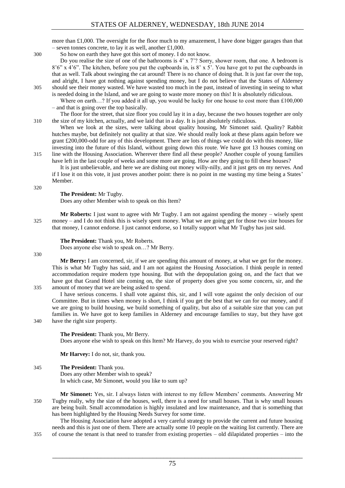more than  $\pounds$ 1,000. The oversight for the floor much to my amazement, I have done bigger garages than that – seven tonnes concrete, to lay it as well, another £1,000.

300 So how on earth they have got this sort of money. I do not know.

Do you realise the size of one of the bathrooms is  $4' \times 7'$ ? Sorry, shower room, that one. A bedroom is  $8'6''$  x 4'6". The kitchen, before you put the cupboards in, is  $8'$  x 5'. You have got to put the cupboards in that as well. Talk about swinging the cat around! There is no chance of doing that. It is just far over the top, and alright, I have got nothing against spending money, but I do not believe that the States of Alderney 305 should see their money wasted. We have wasted too much in the past, instead of investing in seeing to what is needed doing in the Island, and we are going to waste more money on this! It is absolutely ridiculous.

Where on earth...? If you added it all up, you would be lucky for one house to cost more than £100,000 – and that is going over the top basically.

The floor for the street, that size floor you could lay it in a day, because the two houses together are only 310 the size of my kitchen, actually, and we laid that in a day. It is just absolutely ridiculous.

When we look at the sizes, were talking about quality housing, Mr Simonet said. Quality? Rabbit hutches maybe, but definitely not quality at that size. We should really look at these plans again before we grant £200,000-odd for any of this development. There are lots of things we could do with this money, like investing into the future of this Island, without going down this route. We have got 13 houses coming on 315 line with the Housing Association. Wherever there find all these people? Another couple of young families

have left in the last couple of weeks and some more are going. How are they going to fill these houses? It is just unbelievable, and here we are dishing out money willy-nilly, and it just gets on my nerves. And

if I lose it on this vote, it just proves another point: there is no point in me wasting my time being a States' Member.

320

#### **The President:** Mr Tugby.

Does any other Member wish to speak on this Item?

**Mr Roberts:** I just want to agree with Mr Tugby. I am not against spending the money – wisely spent 325 money – and I do not think this is wisely spent money. What we are going get for those two size houses for that money, I cannot endorse. I just cannot endorse, so I totally support what Mr Tugby has just said.

#### **The President:** Thank you, Mr Roberts.

Does anyone else wish to speak on…? Mr Berry.

330

**Mr Berry:** I am concerned, sir, if we are spending this amount of money, at what we get for the money. This is what Mr Tugby has said, and I am not against the Housing Association. I think people in rented accommodation require modern type housing. But with the depopulation going on, and the fact that we have got that Grand Hotel site coming on, the size of property does give you some concern, sir, and the 335 amount of money that we are being asked to spend.

I have serious concerns. I shall vote against this, sir, and I will vote against the only decision of our Committee. But in times when money is short, I think if you get the best that we can for our money, and if we are going to build housing, we build something of quality, but also of a suitable size that you can put families in. We have got to keep families in Alderney and encourage families to stay, but they have got

340 have the right size property.

**The President:** Thank you, Mr Berry. Does anyone else wish to speak on this Item? Mr Harvey, do you wish to exercise your reserved right?

**Mr Harvey:** I do not, sir, thank you.

#### 345 **The President:** Thank you.

Does any other Member wish to speak? In which case, Mr Simonet, would you like to sum up?

**Mr Simonet:** Yes, sir. I always listen with interest to my fellow Members' comments. Answering Mr 350 Tugby really, why the size of the houses, well, there is a need for small houses. That is why small houses are being built. Small accommodation is highly insulated and low maintenance, and that is something that has been highlighted by the Housing Needs Survey for some time.

The Housing Association have adopted a very careful strategy to provide the current and future housing needs and this is just one of them. There are actually some 10 people on the waiting list currently. There are 355 of course the tenant is that need to transfer from existing properties – old dilapidated properties – into the

75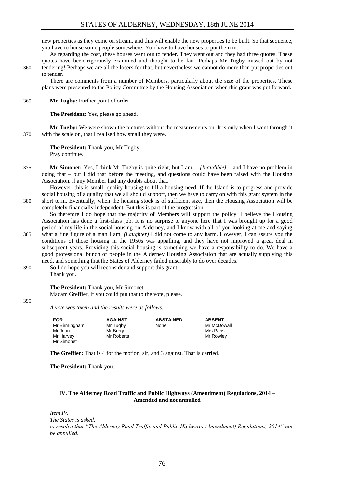new properties as they come on stream, and this will enable the new properties to be built. So that sequence, you have to house some people somewhere. You have to have houses to put them in.

As regarding the cost, these houses went out to tender. They went out and they had three quotes. These quotes have been rigorously examined and thought to be fair. Perhaps Mr Tugby missed out by not 360 tendering! Perhaps we are all the losers for that, but nevertheless we cannot do more than put properties out to tender.

There are comments from a number of Members, particularly about the size of the properties. These plans were presented to the Policy Committee by the Housing Association when this grant was put forward.

#### 365 **Mr Tugby:** Further point of order.

**The President:** Yes, please go ahead.

**Mr Tugby:** We were shown the pictures without the measurements on. It is only when I went through it 370 with the scale on, that I realised how small they were.

**The President:** Thank you, Mr Tugby. Pray continue.

375 **Mr Simonet:** Yes, I think Mr Tugby is quite right, but I am… *[Inaudible]* – and I have no problem in doing that – but I did that before the meeting, and questions could have been raised with the Housing Association, if any Member had any doubts about that.

However, this is small, quality housing to fill a housing need. If the Island is to progress and provide social housing of a quality that we all should support, then we have to carry on with this grant system in the 380 short term. Eventually, when the housing stock is of sufficient size, then the Housing Association will be completely financially independent. But this is part of the progression.

So therefore I do hope that the majority of Members will support the policy. I believe the Housing Association has done a first-class job. It is no surprise to anyone here that I was brought up for a good period of my life in the social housing on Alderney, and I know with all of you looking at me and saying 385 what a fine figure of a man I am, *(Laughter)* I did not come to any harm. However, I can assure you the conditions of those housing in the 1950s was appalling, and they have not improved a great deal in subsequent years. Providing this social housing is something we have a responsibility to do. We have a good professional bunch of people in the Alderney Housing Association that are actually supplying this need, and something that the States of Alderney failed miserably to do over decades.

390 So I do hope you will reconsider and support this grant. Thank you.

#### **The President:** Thank you, Mr Simonet.

Madam Greffier, if you could put that to the vote, please.

395

*A vote was taken and the results were as follows:*

| <b>FOR</b>    | <b>AGAINST</b> | <b>ABSTAINED</b> | <b>ABSENT</b> |
|---------------|----------------|------------------|---------------|
| Mr Birmingham | Mr Tugby       | None             | Mr McDowall   |
| Mr Jean       | Mr Berry       |                  | Mrs Paris     |
| Mr Harvey     | Mr Roberts     |                  | Mr Rowley     |
| Mr Simonet    |                |                  |               |

**The Greffier:** That is 4 for the motion, sir, and 3 against. That is carried.

**The President:** Thank you.

#### <span id="page-9-0"></span>**IV. The Alderney Road Traffic and Public Highways (Amendment) Regulations, 2014 – Amended and not annulled**

*Item IV. The States is asked: to resolve that "The Alderney Road Traffic and Public Highways (Amendment) Regulations, 2014" not be annulled.*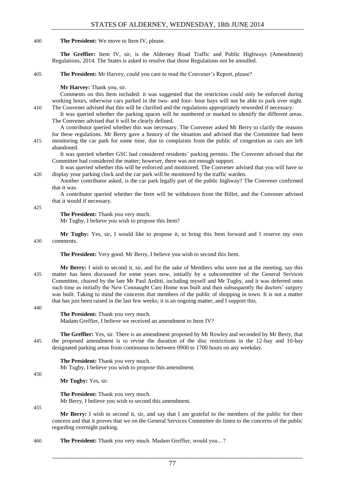#### 400 **The President:** We move to Item IV, please.

**The Greffier:** Item IV, sir, is the Alderney Road Traffic and Public Highways (Amendment) Regulations, 2014. The States is asked to resolve that those Regulations not be annulled.

405 **The President:** Mr Harvey, could you care to read the Convener's Report, please?

#### **Mr Harvey:** Thank you, sir.

Comments on this Item included: it was suggested that the restriction could only be enforced during working hours, otherwise cars parked in the two- and four- hour bays will not be able to park over night.

410 The Convener advised that this will be clarified and the regulations appropriately reworded if necessary.

It was queried whether the parking spaces will be numbered or marked to identify the different areas. The Convener advised that it will be clearly defined.

A contributor queried whether this was necessary. The Convener asked Mr Berry to clarify the reasons for these regulations. Mr Berry gave a history of the situation and advised that the Committee had been 415 monitoring the car park for some time, due to complaints from the public of congestion as cars are left

abandoned. It was queried whether GSC had considered residents' parking permits. The Convener advised that the Committee had considered the matter; however, there was not enough support.

It was queried whether this will be enforced and monitored. The Convener advised that you will have to 420 display your parking clock and the car park will be monitored by the traffic warden.

Another contributor asked, is the car park legally part of the public highway? The Convener confirmed that it was.

A contributor queried whether the Item will be withdrawn from the Billet, and the Convener advised that it would if necessary.

425

#### **The President:** Thank you very much.

Mr Tugby, I believe you wish to propose this Item?

**Mr Tugby:** Yes, sir, I would like to propose it, to bring this Item forward and I reserve my own 430 comments.

**The President:** Very good. Mr Berry, I believe you wish to second this Item.

**Mr Berry:** I wish to second it, sir, and for the sake of Members who were not at the meeting, say this 435 matter has been discussed for some years now, initially by a subcommittee of the General Services Committee, chaired by the late Mr Paul Arditti, including myself and Mr Tugby, and it was deferred onto such time as initially the New Connaught Care Home was built and then subsequently the doctors' surgery was built. Taking to mind the concerns that members of the public of shopping in town. It is not a matter that has just been raised in the last few weeks; it is an ongoing matter, and I support this.

440

#### **The President:** Thank you very much.

Madam Greffier, I believe we received an amendment to Item IV?

**The Greffier:** Yes, sir. There is an amendment proposed by Mr Rowley and seconded by Mr Berry, that 445 the proposed amendment is to revise the duration of the disc restrictions in the 12-bay and 10-bay designated parking areas from continuous to between 0900 to 1700 hours on any weekday.

**The President:** Thank you very much. Mr Tugby, I believe you wish to propose this amendment.

**Mr Tugby:** Yes, sir.

**The President:** Thank you very much. Mr Berry, I believe you wish to second this amendment.

455

450

**Mr Berry:** I wish to second it, sir, and say that I am grateful to the members of the public for their concern and that it proves that we on the General Services Committee do listen to the concerns of the public regarding overnight parking.

460 **The President:** Thank you very much. Madam Greffier, would you…?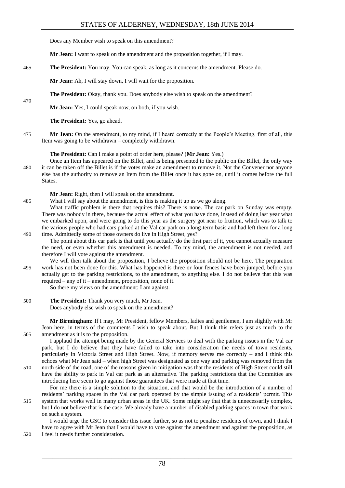Does any Member wish to speak on this amendment?

**Mr Jean:** I want to speak on the amendment and the proposition together, if I may.

465 **The President:** You may. You can speak, as long as it concerns the amendment. Please do.

**Mr Jean:** Ah, I will stay down, I will wait for the proposition.

**The President:** Okay, thank you. Does anybody else wish to speak on the amendment?

**Mr Jean:** Yes, I could speak now, on both, if you wish.

**The President:** Yes, go ahead.

475 **Mr Jean:** On the amendment, to my mind, if I heard correctly at the People's Meeting, first of all, this Item was going to be withdrawn – completely withdrawn.

**The President:** Can I make a point of order here, please? (**Mr Jean:** Yes.)

Once an Item has appeared on the Billet, and is being presented to the public on the Billet, the only way 480 it can be taken off the Billet is if the votes make an amendment to remove it. Not the Convener nor anyone else has the authority to remove an Item from the Billet once it has gone on, until it comes before the full States.

**Mr Jean:** Right, then I will speak on the amendment.

485 What I will say about the amendment, is this is making it up as we go along.

What traffic problem is there that requires this? There is none. The car park on Sunday was empty. There was nobody in there, because the actual effect of what you have done, instead of doing last year what we embarked upon, and were going to do this year as the surgery got near to fruition, which was to talk to the various people who had cars parked at the Val car park on a long-term basis and had left them for a long 490 time. Admittedly some of those owners do live in High Street, yes?

The point about this car park is that until you actually do the first part of it, you cannot actually measure the need, or even whether this amendment is needed. To my mind, the amendment is not needed, and therefore I will vote against the amendment.

We will then talk about the proposition, I believe the proposition should not be here. The preparation 495 work has not been done for this. What has happened is three or four fences have been jumped, before you actually get to the parking restrictions, to the amendment, to anything else. I do not believe that this was required – any of it – amendment, proposition, none of it.

So there my views on the amendment: I am against.

500 **The President:** Thank you very much, Mr Jean. Does anybody else wish to speak on the amendment?

**Mr Birmingham:** If I may, Mr President, fellow Members, ladies and gentlemen, I am slightly with Mr Jean here, in terms of the comments I wish to speak about. But I think this refers just as much to the 505 amendment as it is to the proposition.

I applaud the attempt being made by the General Services to deal with the parking issues in the Val car park, but I do believe that they have failed to take into consideration the needs of town residents, particularly in Victoria Street and High Street. Now, if memory serves me correctly – and I think this echoes what Mr Jean said – when high Street was designated as one way and parking was removed from the 510 north side of the road, one of the reasons given in mitigation was that the residents of High Street could still

have the ability to park in Val car park as an alternative. The parking restrictions that the Committee are introducing here seem to go against those guarantees that were made at that time.

For me there is a simple solution to the situation, and that would be the introduction of a number of residents' parking spaces in the Val car park operated by the simple issuing of a residents' permit. This 515 system that works well in many urban areas in the UK. Some might say that that is unnecessarily complex, but I do not believe that is the case. We already have a number of disabled parking spaces in town that work on such a system.

I would urge the GSC to consider this issue further, so as not to penalise residents of town, and I think I have to agree with Mr Jean that I would have to vote against the amendment and against the proposition, as 520 I feel it needs further consideration.

470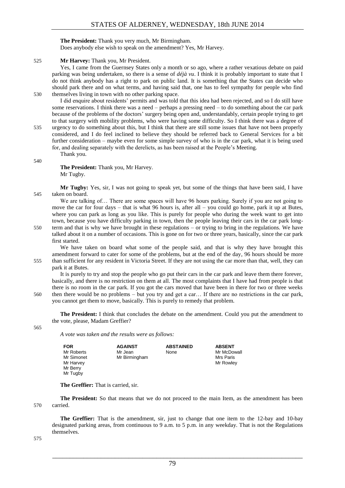#### **The President:** Thank you very much, Mr Birmingham.

Does anybody else wish to speak on the amendment? Yes, Mr Harvey.

#### 525 **Mr Harvey:** Thank you, Mr President.

Yes, I came from the Guernsey States only a month or so ago, where a rather vexatious debate on paid parking was being undertaken, so there is a sense of *déjà vu*. I think it is probably important to state that I do not think anybody has a right to park on public land. It is something that the States can decide who should park there and on what terms, and having said that, one has to feel sympathy for people who find 530 themselves living in town with no other parking space.

I did enquire about residents' permits and was told that this idea had been rejected, and so I do still have some reservations. I think there was a need – perhaps a pressing need – to do something about the car park because of the problems of the doctors' surgery being open and, understandably, certain people trying to get to that surgery with mobility problems, who were having some difficulty. So I think there was a degree of 535 urgency to do something about this, but I think that there are still some issues that have not been properly

considered, and I do feel inclined to believe they should be referred back to General Services for a bit further consideration – maybe even for some simple survey of who is in the car park, what it is being used for, and dealing separately with the derelicts, as has been raised at the People's Meeting.

Thank you.

540

**The President:** Thank you, Mr Harvey. Mr Tugby.

**Mr Tugby:** Yes, sir, I was not going to speak yet, but some of the things that have been said, I have 545 taken on board.

We are talking of... There are some spaces will have 96 hours parking. Surely if you are not going to move the car for four days – that is what 96 hours is, after all – you could go home, park it up at Butes, where you can park as long as you like. This is purely for people who during the week want to get into town, because you have difficulty parking in town, then the people leaving their cars in the car park long-550 term and that is why we have brought in these regulations – or trying to bring in the regulations. We have talked about it on a number of occasions. This is gone on for two or three years, basically, since the car park

first started. We have taken on board what some of the people said, and that is why they have brought this

amendment forward to cater for some of the problems, but at the end of the day, 96 hours should be more 555 than sufficient for any resident in Victoria Street. If they are not using the car more than that, well, they can park it at Butes.

It is purely to try and stop the people who go put their cars in the car park and leave them there forever, basically, and there is no restriction on them at all. The most complaints that I have had from people is that there is no room in the car park. If you got the cars moved that have been in there for two or three weeks 560 then there would be no problems – but you try and get a car… If there are no restrictions in the car park, you cannot get them to move, basically. This is purely to remedy that problem.

**The President:** I think that concludes the debate on the amendment. Could you put the amendment to the vote, please, Madam Greffier?

565

*A vote was taken and the results were as follows:*

| FOR        | <b>AGAINST</b> | <b>ABSTAINED</b> | <b>ABSENT</b> |
|------------|----------------|------------------|---------------|
| Mr Roberts | Mr Jean        | None             | Mr McDowall   |
| Mr Simonet | Mr Birmingham  |                  | Mrs Paris     |
| Mr Harvey  |                |                  | Mr Rowlev     |
| Mr Berry   |                |                  |               |
| Mr Tugby   |                |                  |               |

**The Greffier:** That is carried, sir.

**The President:** So that means that we do not proceed to the main Item, as the amendment has been 570 carried.

**The Greffier:** That is the amendment, sir, just to change that one item to the 12-bay and 10-bay designated parking areas, from continuous to 9 a.m. to 5 p.m. in any weekday. That is not the Regulations themselves.

575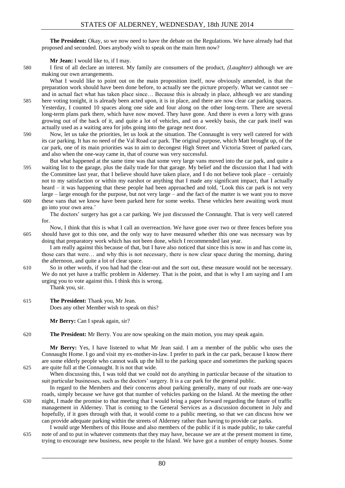**The President:** Okay, so we now need to have the debate on the Regulations. We have already had that proposed and seconded. Does anybody wish to speak on the main Item now?

**Mr Jean:** I would like to, if I may.

580 I first of all declare an interest. My family are consumers of the product, *(Laughter)* although we are making our own arrangements.

What I would like to point out on the main proposition itself, now obviously amended, is that the preparation work should have been done before, to actually see the picture properly. What we cannot see – and in actual fact what has taken place since… Because this is already in place, although we are standing 585 here voting tonight, it is already been acted upon, it is in place, and there are now clear car parking spaces. Yesterday, I counted 10 spaces along one side and four along on the other long-term. There are several long-term plans park there, which have now moved. They have gone. And there is even a lorry with grass growing out of the back of it, and quite a lot of vehicles, and on a weekly basis, the car park itself was actually used as a waiting area for jobs going into the garage next door.

- 590 Now, let us take the priorities, let us look at the situation. The Connaught is very well catered for with its car parking. It has no need of the Val Road car park. The original purpose, which Matt brought up, of the car park, one of its main priorities was to aim to decongest High Street and Victoria Street of parked cars, and also when the one-way came in, that of course was very successful.
- But what happened at the same time was that some very large vans moved into the car park, and quite a 595 waiting list to the garage, plus the daily trade for that garage. My belief and the discussion that I had with the Committee last year, that I believe should have taken place, and I do not believe took place – certainly not to my satisfaction or within my earshot or anything that I made any significant impact, that I actually heard – it was happening that these people had been approached and told, 'Look this car park is not very large – large enough for the purpose, but not very large – and the fact of the matter is we want you to move
- 600 these vans that we know have been parked here for some weeks. These vehicles here awaiting work must go into your own area.'
	- The doctors' surgery has got a car parking. We just discussed the Connaught. That is very well catered for.
- Now, I think that this is what I call an overreaction. We have gone over two or three fences before you 605 should have got to this one, and the only way to have measured whether this one was necessary was by doing that preparatory work which has not been done, which I recommended last year.

I am really against this because of that, but I have also noticed that since this is now in and has come in, those cars that were… and why this is not necessary, there is now clear space during the morning, during the afternoon, and quite a lot of clear space.

- 610 So in other words, if you had had the clear-out and the sort out, these measure would not be necessary. We do not yet have a traffic problem in Alderney. That is the point, and that is why I am saying and I am urging you to vote against this. I think this is wrong.
	- Thank you, sir.
- 615 **The President:** Thank you, Mr Jean. Does any other Member wish to speak on this?

**Mr Berry:** Can I speak again, sir?

620 **The President:** Mr Berry. You are now speaking on the main motion, you may speak again.

**Mr Berry:** Yes, I have listened to what Mr Jean said. I am a member of the public who uses the Connaught Home. I go and visit my ex-mother-in-law. I prefer to park in the car park, because I know there are some elderly people who cannot walk up the hill to the parking space and sometimes the parking spaces 625 are quite full at the Connaught. It is not that wide.

When discussing this, I was told that we could not do anything in particular because of the situation to suit particular businesses, such as the doctors' surgery. It is a car park for the general public.

In regard to the Members and their concerns about parking generally, many of our roads are one-way roads, simply because we have got that number of vehicles parking on the Island. At the meeting the other 630 night, I made the promise to that meeting that I would bring a paper forward regarding the future of traffic management in Alderney. That is coming to the General Services as a discussion document in July and hopefully, if it goes through with that, it would come to a public meeting, so that we can discuss how we can provide adequate parking within the streets of Alderney rather than having to provide car parks.

I would urge Members of this House and also members of the public if it is made public, to take careful 635 note of and to put in whatever comments that they may have, because we are at the present moment in time, trying to encourage new business, new people to the Island. We have got a number of empty houses. Some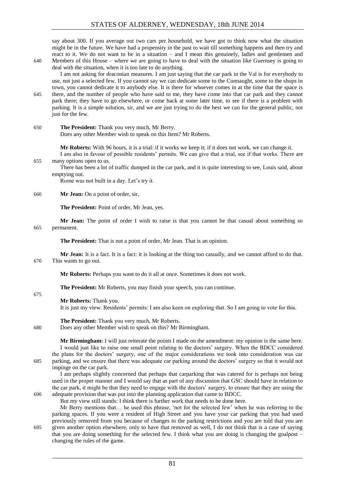say about 300. If you average out two cars per household, we have got to think now what the situation might be in the future. We have had a propensity in the past to wait till something happens and then try and react to it. We do not want to be in a situation – and I mean this genuinely, ladies and gentlemen and 640 Members of this House – where we are going to have to deal with the situation like Guernsey is going to

deal with the situation, when it is too late to do anything.

I am not asking for draconian measures. I am just saying that the car park in the Val is for everybody to use, not just a selected few. If you cannot say we can dedicate some to the Connaught, some to the shops in town, you cannot dedicate it to anybody else. It is there for whoever comes in at the time that the space is 645 there, and the number of people who have said to me, they have come into that car park and they cannot park there; they have to go elsewhere, or come back at some later time, to see if there is a problem with parking. It is a simple solution, sir, and we are just trying to do the best we can for the general public, not just for the few.

650 **The President:** Thank you very much, Mr Berry.

Does any other Member wish to speak on this Item? Mr Roberts.

**Mr Roberts:** With 96 hours, it is a trial: if it works we keep it; if it does not work, we can change it.

I am also in favour of possible residents' permits. We can give that a trial, see if that works. There are 655 many options open to us.

There has been a lot of traffic dumped in the car park, and it is quite interesting to see, Louis said, about emptying out.

Rome was not built in a day. Let's try it.

#### 660 **Mr Jean:** On a point of order, sir,

**The President:** Point of order, Mr Jean, yes.

**Mr Jean:** The point of order I wish to raise is that you cannot be that casual about something so 665 permanent.

**The President:** That is not a point of order, Mr Jean. That is an opinion.

**Mr Jean:** It is a fact. It is a fact: it is looking at the thing too casually, and we cannot afford to do that. 670 This wants to go out.

**Mr Roberts:** Perhaps you want to do it all at once. Sometimes it does not work.

**The President:** Mr Roberts, you may finish your speech, you can continue.

675

**Mr Roberts:** Thank you.

It is just my view. Residents' permits: I am also keen on exploring that. So I am going to vote for this.

**The President:** Thank you very much, Mr Roberts.

680 Does any other Member wish to speak on this? Mr Birmingham.

**Mr Birmingham:** I will just reiterate the points I made on the amendment: my opinion is the same here. I would just like to raise one small point relating to the doctors' surgery. When the BDCC considered the plans for the doctors' surgery, one of the major considerations we took into consideration was car 685 parking, and we ensure that there was adequate car parking around the doctors' surgery so that it would not impinge on the car park.

I am perhaps slightly concerned that perhaps that carparking that was catered for is perhaps not being used in the proper manner and I would say that as part of any discussion that GSC should have in relation to the car park, it might be that they need to engage with the doctors' surgery, to ensure that they are using the 690 adequate provision that was put into the planning application that came to BDCC.

But my view still stands: I think there is further work that needs to be done here.

Mr Berry mentions that… he used this phrase, 'not for the selected few' when he was referring to the parking spaces. If you were a resident of High Street and you have your car parking that you had used previously removed from you because of changes to the parking restrictions and you are told that you are 695 given another option elsewhere, only to have that removed as well, I do not think that is a case of saying that you are doing something for the selected few. I think what you are doing is changing the goalpost – changing the rules of the game.

81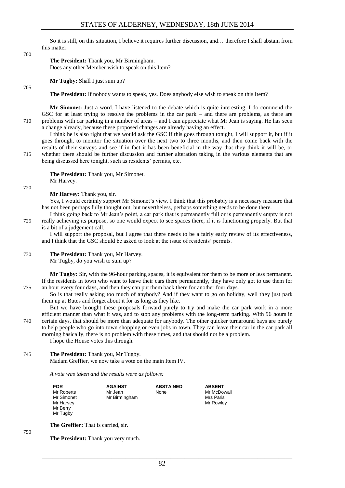So it is still, on this situation, I believe it requires further discussion, and… therefore I shall abstain from this matter.

#### 700

705

#### **The President:** Thank you, Mr Birmingham.

Does any other Member wish to speak on this Item?

**Mr Tugby:** Shall I just sum up?

**The President:** If nobody wants to speak, yes. Does anybody else wish to speak on this Item?

**Mr Simonet:** Just a word. I have listened to the debate which is quite interesting. I do commend the GSC for at least trying to resolve the problems in the car park – and there are problems, as there are 710 problems with car parking in a number of areas – and I can appreciate what Mr Jean is saying. He has seen a change already, because these proposed changes are already having an effect.

I think he is also right that we would ask the GSC if this goes through tonight, I will support it, but if it goes through, to monitor the situation over the next two to three months, and then come back with the results of their surveys and see if in fact it has been beneficial in the way that they think it will be, or 715 whether there should be further discussion and further alteration taking in the various elements that are being discussed here tonight, such as residents' permits, etc.

**The President:** Thank you, Mr Simonet. Mr Harvey.

720

750

#### **Mr Harvey:** Thank you, sir.

Yes, I would certainly support Mr Simonet's view. I think that this probably is a necessary measure that has not been perhaps fully thought out, but nevertheless, perhaps something needs to be done there. I think going back to Mr Jean's point, a car park that is permanently full or is permanently empty is not

- 
- 725 really achieving its purpose, so one would expect to see spaces there, if it is functioning properly. But that is a bit of a judgement call.

I will support the proposal, but I agree that there needs to be a fairly early review of its effectiveness, and I think that the GSC should be asked to look at the issue of residents' permits.

#### 730 **The President:** Thank you, Mr Harvey. Mr Tugby, do you wish to sum up?

**Mr Tugby:** Sir, with the 96-hour parking spaces, it is equivalent for them to be more or less permanent. If the residents in town who want to leave their cars there permanently, they have only got to use them for 735 an hour every four days, and then they can put them back there for another four days.

So is that really asking too much of anybody? And if they want to go on holiday, well they just park them up at Butes and forget about it for as long as they like.

But we have brought these proposals forward purely to try and make the car park work in a more efficient manner than what it was, and to stop any problems with the long-term parking. With 96 hours in 740 certain days, that should be more than adequate for anybody. The other quicker turnaround bays are purely to help people who go into town shopping or even jobs in town. They can leave their car in the car park all morning basically, there is no problem with these times, and that should not be a problem.

I hope the House votes this through.

#### 745 **The President:** Thank you, Mr Tugby.

Madam Greffier, we now take a vote on the main Item IV.

*A vote was taken and the results were as follows:*

| <b>FOR</b> | <b>AGAINST</b> | <b>ABSTAINED</b> | <b>ABSENT</b> |
|------------|----------------|------------------|---------------|
| Mr Roberts | Mr Jean        | None             | Mr McDowall   |
| Mr Simonet | Mr Birmingham  |                  | Mrs Paris     |
| Mr Harvey  |                |                  | Mr Rowley     |
| Mr Berry   |                |                  |               |
| Mr Tugby   |                |                  |               |
|            |                |                  |               |

**The Greffier:** That is carried, sir.

**The President:** Thank you very much.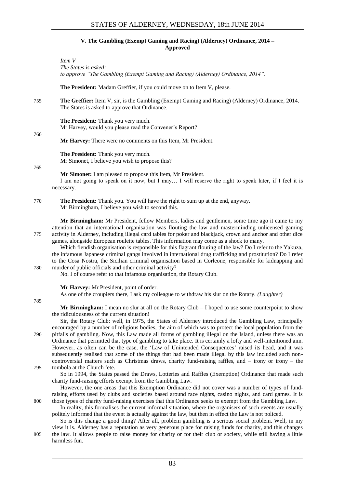#### **V. The Gambling (Exempt Gaming and Racing) (Alderney) Ordinance, 2014 – Approved**

<span id="page-16-0"></span>*Item V The States is asked: to approve "The Gambling (Exempt Gaming and Racing) (Alderney) Ordinance, 2014".* 

**The President:** Madam Greffier, if you could move on to Item V, please.

755 **The Greffier:** Item V, sir, is the Gambling (Exempt Gaming and Racing) (Alderney) Ordinance, 2014. The States is asked to approve that Ordinance.

**The President:** Thank you very much. Mr Harvey, would you please read the Convener's Report?

760

**Mr Harvey:** There were no comments on this Item, Mr President.

**The President:** Thank you very much. Mr Simonet, I believe you wish to propose this?

765

**Mr Simonet:** I am pleased to propose this Item, Mr President.

I am not going to speak on it now, but I may… I will reserve the right to speak later, if I feel it is necessary.

770 **The President:** Thank you. You will have the right to sum up at the end, anyway. Mr Birmingham, I believe you wish to second this.

**Mr Birmingham:** Mr President, fellow Members, ladies and gentlemen, some time ago it came to my attention that an international organisation was flouting the law and masterminding unlicensed gaming 775 activity in Alderney, including illegal card tables for poker and blackjack, crown and anchor and other dice games, alongside European roulette tables. This information may come as a shock to many.

Which fiendish organisation is responsible for this flagrant flouting of the law? Do I refer to the Yakuza, the infamous Japanese criminal gangs involved in international drug trafficking and prostitution? Do I refer to the Cosa Nostra, the Sicilian criminal organisation based in Corleone, responsible for kidnapping and 780 murder of public officials and other criminal activity?

No. I of course refer to that infamous organisation, the Rotary Club.

**Mr Harvey:** Mr President, point of order.

As one of the croupiers there, I ask my colleague to withdraw his slur on the Rotary. *(Laughter)*

785

**Mr Birmingham:** I mean no slur at all on the Rotary Club – I hoped to use some counterpoint to show the ridiculousness of the current situation!

Sir, the Rotary Club: well, in 1975, the States of Alderney introduced the Gambling Law, principally encouraged by a number of religious bodies, the aim of which was to protect the local population from the 790 pitfalls of gambling. Now, this Law made all forms of gambling illegal on the Island, unless there was an Ordinance that permitted that type of gambling to take place. It is certainly a lofty and well-intentioned aim. However, as often can be the case, the 'Law of Unintended Consequences' raised its head, and it was subsequently realised that some of the things that had been made illegal by this law included such noncontroversial matters such as Christmas draws, charity fund-raising raffles, and – irony or irony – the 795 tombola at the Church fete.

So in 1994, the States passed the Draws, Lotteries and Raffles (Exemption) Ordinance that made such charity fund-raising efforts exempt from the Gambling Law.

However, the one areas that this Exemption Ordinance did not cover was a number of types of fundraising efforts used by clubs and societies based around race nights, casino nights, and card games. It is 800 those types of charity fund-raising exercises that this Ordinance seeks to exempt from the Gambling Law.

In reality, this formalises the current informal situation, where the organisers of such events are usually politely informed that the event is actually against the law, but then in effect the Law is not policed.

So is this change a good thing? After all, problem gambling is a serious social problem. Well, in my view it is. Alderney has a reputation as very generous place for raising funds for charity, and this changes 805 the law. It allows people to raise money for charity or for their club or society, while still having a little harmless fun.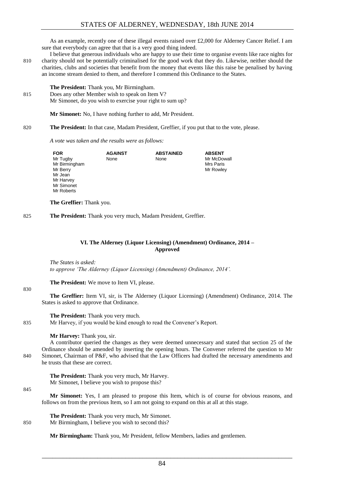As an example, recently one of these illegal events raised over £2,000 for Alderney Cancer Relief. I am sure that everybody can agree that that is a very good thing indeed.

I believe that generous individuals who are happy to use their time to organise events like race nights for 810 charity should not be potentially criminalised for the good work that they do. Likewise, neither should the charities, clubs and societies that benefit from the money that events like this raise be penalised by having an income stream denied to them, and therefore I commend this Ordinance to the States.

#### **The President:** Thank you, Mr Birmingham.

815 Does any other Member wish to speak on Item V? Mr Simonet, do you wish to exercise your right to sum up?

**Mr Simonet:** No, I have nothing further to add, Mr President.

820 **The President:** In that case, Madam President, Greffier, if you put that to the vote, please.

*A vote was taken and the results were as follows:*

| <b>FOR</b>                      | <b>AGAINST</b> | <b>ABSTAINED</b> | <b>ABSENT</b> |
|---------------------------------|----------------|------------------|---------------|
| Mr Tugby                        | None           | None             | Mr McDowall   |
| Mr Birmingham                   |                |                  | Mrs Paris     |
| Mr Berry                        |                |                  | Mr Rowley     |
| Mr Jean                         |                |                  |               |
| Mr Harvey                       |                |                  |               |
| Mr Simonet                      |                |                  |               |
| Mr Roberts                      |                |                  |               |
|                                 |                |                  |               |
| <b>The Greffier:</b> Thank you. |                |                  |               |

825 **The President:** Thank you very much, Madam President, Greffier.

#### **VI. The Alderney (Liquor Licensing) (Amendment) Ordinance, 2014 – Approved**

<span id="page-17-0"></span>*The States is asked: to approve 'The Alderney (Liquor Licensing) (Amendment) Ordinance, 2014'.* 

**The President:** We move to Item VI, please.

**The Greffier:** Item VI, sir, is The Alderney (Liquor Licensing) (Amendment) Ordinance, 2014. The States is asked to approve that Ordinance.

**The President:** Thank you very much.

835 Mr Harvey, if you would be kind enough to read the Convener's Report.

**Mr Harvey:** Thank you, sir.

A contributor queried the changes as they were deemed unnecessary and stated that section 25 of the Ordinance should be amended by inserting the opening hours. The Convener referred the question to Mr 840 Simonet, Chairman of P&F, who advised that the Law Officers had drafted the necessary amendments and he trusts that these are correct.

**The President:** Thank you very much, Mr Harvey. Mr Simonet, I believe you wish to propose this?

845

830

**Mr Simonet:** Yes, I am pleased to propose this Item, which is of course for obvious reasons, and follows on from the previous Item, so I am not going to expand on this at all at this stage.

**The President:** Thank you very much, Mr Simonet. 850 Mr Birmingham, I believe you wish to second this?

**Mr Birmingham:** Thank you, Mr President, fellow Members, ladies and gentlemen.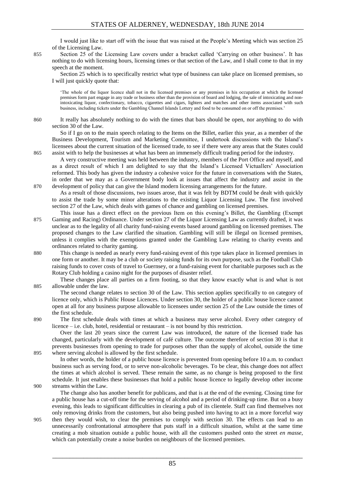I would just like to start off with the issue that was raised at the People's Meeting which was section 25 of the Licensing Law.

855 Section 25 of the Licensing Law covers under a bracket called 'Carrying on other business'. It has nothing to do with licensing hours, licensing times or that section of the Law, and I shall come to that in my speech at the moment.

Section 25 which is to specifically restrict what type of business can take place on licensed premises, so I will just quickly quote that:

'The whole of the liquor licence shall not in the licensed premises or any premises in his occupation at which the licensed premises form part engage in any trade or business other than the provision of board and lodging, the sale of intoxicating and nonintoxicating liquor, confectionary, tobacco, cigarettes and cigars, lighters and matches and other items associated with such business, including tickets under the Gambling Channel Islands Lottery and food to be consumed on or off the premises.'

860 It really has absolutely nothing to do with the times that bars should be open, nor anything to do with section 30 of the Law.

So if I go on to the main speech relating to the Items on the Billet, earlier this year, as a member of the Business Development, Tourism and Marketing Committee, I undertook discussions with the Island's licensees about the current situation of the licensed trade, to see if there were any areas that the States could 865 assist with to help the businesses at what has been an immensely difficult trading period for the industry.

A very constructive meeting was held between the industry, members of the Port Office and myself, and as a direct result of which I am delighted to say that the Island's Licensed Victuallers' Association reformed. This body has given the industry a cohesive voice for the future in conversations with the States, in order that we may as a Government body look at issues that affect the industry and assist in the 870 development of policy that can give the Island modern licensing arrangements for the future.

As a result of those discussions, two issues arose, that it was felt by BDTM could be dealt with quickly to assist the trade by some minor alterations to the existing Liquor Licensing Law. The first involved section 27 of the Law, which deals with games of chance and gambling on licensed premises.

- This issue has a direct effect on the previous Item on this evening's Billet, the Gambling (Exempt 875 Gaming and Racing) Ordinance. Under section 27 of the Liquor Licensing Law as currently drafted, it was unclear as to the legality of all charity fund-raising events based around gambling on licensed premises. The proposed changes to the Law clarified the situation. Gambling will still be illegal on licensed premises, unless it complies with the exemptions granted under the Gambling Law relating to charity events and ordinances related to charity gaming.
- 880 This change is needed as nearly every fund-raising event of this type takes place in licensed premises in one form or another. It may be a club or society raising funds for its own purpose, such as the Football Club raising funds to cover costs of travel to Guernsey, or a fund-raising event for charitable purposes such as the Rotary Club holding a casino night for the purposes of disaster relief.

These changes place all parties on a firm footing, so that they know exactly what is and what is not 885 allowable under the law.

The second change relates to section 30 of the Law. This section applies specifically to on category of licence only, which is Public House Licences. Under section 30, the holder of a public house licence cannot open at all for any business purpose allowable to licensees under section 25 of the Law outside the times of the first schedule.

890 The first schedule deals with times at which a business may serve alcohol. Every other category of licence – i.e. club, hotel, residential or restaurant – is not bound by this restriction.

Over the last 20 years since the current Law was introduced, the nature of the licensed trade has changed, particularly with the development of café culture. The outcome therefore of section 30 is that it prevents businesses from opening to trade for purposes other than the supply of alcohol, outside the time 895 where serving alcohol is allowed by the first schedule.

In other words, the holder of a public house licence is prevented from opening before 10 a.m. to conduct business such as serving food, or to serve non-alcoholic beverages. To be clear, this change does not affect the times at which alcohol is served. These remain the same, as no change is being proposed to the first schedule. It just enables these businesses that hold a public house licence to legally develop other income 900 streams within the Law.

The change also has another benefit for publicans, and that is at the end of the evening. Closing time for a public house has a cut-off time for the serving of alcohol and a period of drinking-up time. But on a busy evening, this leads to significant difficulties in clearing a pub of its clientele. Staff can find themselves not only removing drinks from the customers, but also being pushed into having to act in a more forceful way

905 then they would wish, to clear the premises to comply with section 30. The effects can lead to an unnecessarily confrontational atmosphere that puts staff in a difficult situation, whilst at the same time creating a mob situation outside a public house, with all the customers pushed onto the street *en masse*, which can potentially create a noise burden on neighbours of the licensed premises.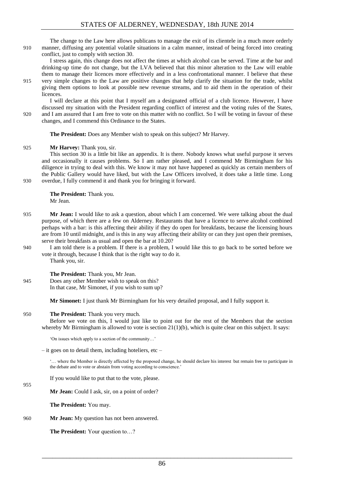The change to the Law here allows publicans to manage the exit of its clientele in a much more orderly 910 manner, diffusing any potential volatile situations in a calm manner, instead of being forced into creating conflict, just to comply with section 30.

I stress again, this change does not affect the times at which alcohol can be served. Time at the bar and drinking-up time do not change, but the LVA believed that this minor alteration to the Law will enable them to manage their licences more effectively and in a less confrontational manner. I believe that these

915 very simple changes to the Law are positive changes that help clarify the situation for the trade, whilst giving them options to look at possible new revenue streams, and to aid them in the operation of their licences.

I will declare at this point that I myself am a designated official of a club licence. However, I have discussed my situation with the President regarding conflict of interest and the voting rules of the States, 920 and I am assured that I am free to vote on this matter with no conflict. So I will be voting in favour of these changes, and I commend this Ordinance to the States.

**The President:** Does any Member wish to speak on this subject? Mr Harvey.

#### 925 **Mr Harvey:** Thank you, sir.

This section 30 is a little bit like an appendix. It is there. Nobody knows what useful purpose it serves and occasionally it causes problems. So I am rather pleased, and I commend Mr Birmingham for his diligence in trying to deal with this. We know it may not have happened as quickly as certain members of the Public Gallery would have liked, but with the Law Officers involved, it does take a little time. Long 930 overdue, I fully commend it and thank you for bringing it forward.

**The President:** Thank you. Mr Jean.

- 935 **Mr Jean:** I would like to ask a question, about which I am concerned. We were talking about the dual purpose, of which there are a few on Alderney. Restaurants that have a licence to serve alcohol combined perhaps with a bar: is this affecting their ability if they do open for breakfasts, because the licensing hours are from 10 until midnight, and is this in any way affecting their ability or can they just open their premises, serve their breakfasts as usual and open the bar at 10.20?
- 940 I am told there is a problem. If there is a problem, I would like this to go back to be sorted before we vote it through, because I think that is the right way to do it. Thank you, sir.

**The President:** Thank you, Mr Jean.

945 Does any other Member wish to speak on this? In that case, Mr Simonet, if you wish to sum up?

**Mr Simonet:** I just thank Mr Birmingham for his very detailed proposal, and I fully support it.

#### 950 **The President:** Thank you very much.

Before we vote on this, I would just like to point out for the rest of the Members that the section whereby Mr Birmingham is allowed to vote is section  $21(1)(b)$ , which is quite clear on this subject. It says:

'On issues which apply to a section of the community…'

 $-$  it goes on to detail them, including hoteliers, etc –

... where the Member is directly affected by the proposed change, he should declare his interest but remain free to participate in the debate and to vote or abstain from voting according to conscience.'

If you would like to put that to the vote, please.

**Mr Jean:** Could I ask, sir, on a point of order?

**The President:** You may.

955

960 **Mr Jean:** My question has not been answered.

**The President:** Your question to…?